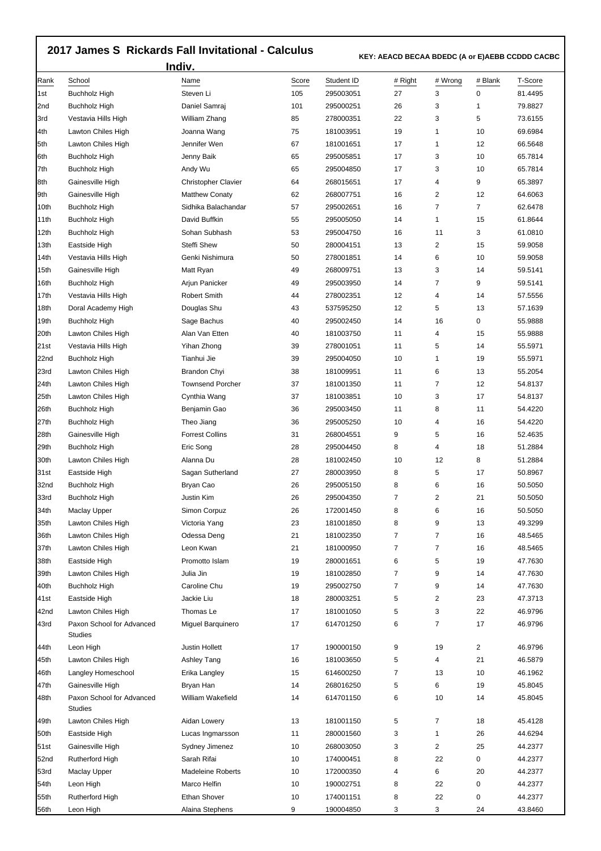## **2017 James S Rickards Fall Invitational - Calculus**

 **KEY: AEACD BECAA BDEDC (A or E)AEBB CCDDD CACBC** 

|      | Indiv.                                      |                            |       | KET: AEACD BECAA BDEDC (A OF E)AEBB CCDDD CACBC |                |                |                |         |  |
|------|---------------------------------------------|----------------------------|-------|-------------------------------------------------|----------------|----------------|----------------|---------|--|
| Rank | School                                      | Name                       | Score | Student ID                                      | # Right        | # Wrong        | # Blank        | T-Score |  |
| l1st | <b>Buchholz High</b>                        | Steven Li                  | 105   | 295003051                                       | 27             | 3              | 0              | 81.4495 |  |
| 2nd  | <b>Buchholz High</b>                        | Daniel Samraj              | 101   | 295000251                                       | 26             | 3              | 1              | 79.8827 |  |
| 3rd  | Vestavia Hills High                         | William Zhang              | 85    | 278000351                                       | 22             | 3              | 5              | 73.6155 |  |
| 4th  | Lawton Chiles High                          | Joanna Wang                | 75    | 181003951                                       | 19             | 1              | 10             | 69.6984 |  |
| 5th  | Lawton Chiles High                          | Jennifer Wen               | 67    | 181001651                                       | 17             | 1              | 12             | 66.5648 |  |
| 6th  | <b>Buchholz High</b>                        | Jenny Baik                 | 65    | 295005851                                       | 17             | 3              | 10             | 65.7814 |  |
| 7th  | <b>Buchholz High</b>                        | Andy Wu                    | 65    | 295004850                                       | 17             | 3              | 10             | 65.7814 |  |
| 8th  | Gainesville High                            | <b>Christopher Clavier</b> | 64    | 268015651                                       | 17             | 4              | 9              | 65.3897 |  |
| 9th  | Gainesville High                            | <b>Matthew Conaty</b>      | 62    | 268007751                                       | 16             | 2              | 12             | 64.6063 |  |
| 10th | Buchholz High                               | Sidhika Balachandar        | 57    | 295002651                                       | 16             | 7              | $\overline{7}$ | 62.6478 |  |
| 11th | <b>Buchholz High</b>                        | David Buffkin              | 55    | 295005050                                       | 14             | 1              | 15             | 61.8644 |  |
| 12th | <b>Buchholz High</b>                        | Sohan Subhash              | 53    | 295004750                                       | 16             | 11             | 3              | 61.0810 |  |
| 13th | Eastside High                               | Steffi Shew                | 50    | 280004151                                       | 13             | $\overline{2}$ | 15             | 59.9058 |  |
| 14th | Vestavia Hills High                         | Genki Nishimura            | 50    | 278001851                                       | 14             | 6              | 10             | 59.9058 |  |
| 15th | Gainesville High                            | Matt Ryan                  | 49    | 268009751                                       | 13             | 3              | 14             | 59.5141 |  |
| 16th | <b>Buchholz High</b>                        | Arjun Panicker             | 49    | 295003950                                       | 14             | $\overline{7}$ | 9              | 59.5141 |  |
| 17th | Vestavia Hills High                         | <b>Robert Smith</b>        | 44    | 278002351                                       | 12             | 4              | 14             | 57.5556 |  |
| 18th | Doral Academy High                          | Douglas Shu                | 43    | 537595250                                       | 12             | 5              | 13             | 57.1639 |  |
| 19th | <b>Buchholz High</b>                        | Sage Bachus                | 40    | 295002450                                       | 14             | 16             | 0              | 55.9888 |  |
| 20th | Lawton Chiles High                          | Alan Van Etten             | 40    | 181003750                                       | 11             | 4              | 15             | 55.9888 |  |
| 21st | Vestavia Hills High                         | Yihan Zhong                | 39    | 278001051                                       | 11             | 5              | 14             | 55.5971 |  |
| 22nd | Buchholz High                               | Tianhui Jie                | 39    | 295004050                                       | 10             | 1              | 19             | 55.5971 |  |
| 23rd | Lawton Chiles High                          | Brandon Chyi               | 38    | 181009951                                       | 11             | 6              | 13             | 55.2054 |  |
| 24th | Lawton Chiles High                          | <b>Townsend Porcher</b>    | 37    | 181001350                                       | 11             | 7              | 12             | 54.8137 |  |
| 25th | Lawton Chiles High                          | Cynthia Wang               | 37    | 181003851                                       | 10             | 3              | 17             | 54.8137 |  |
| 26th | <b>Buchholz High</b>                        | Benjamin Gao               | 36    | 295003450                                       | 11             | 8              | 11             | 54.4220 |  |
| 27th | <b>Buchholz High</b>                        | Theo Jiang                 | 36    | 295005250                                       | 10             | 4              | 16             | 54.4220 |  |
| 28th | Gainesville High                            | <b>Forrest Collins</b>     | 31    | 268004551                                       | 9              | 5              | 16             | 52.4635 |  |
| 29th | <b>Buchholz High</b>                        | Eric Song                  | 28    | 295004450                                       | 8              | 4              | 18             | 51.2884 |  |
| 30th | Lawton Chiles High                          | Alanna Du                  | 28    | 181002450                                       | 10             | 12             | 8              | 51.2884 |  |
| 31st | Eastside High                               | Sagan Sutherland           | 27    | 280003950                                       | 8              | 5              | 17             | 50.8967 |  |
| 32nd | <b>Buchholz High</b>                        | Bryan Cao                  | 26    | 295005150                                       | 8              | 6              | 16             | 50.5050 |  |
| 33rd | Buchholz High                               | Justin Kim                 | 26    | 295004350                                       | $\overline{7}$ | 2              | 21             | 50.5050 |  |
| 34th | Maclay Upper                                | Simon Corpuz               | 26    | 172001450                                       | 8              | 6              | 16             | 50.5050 |  |
| 35th | Lawton Chiles High                          | Victoria Yang              | 23    | 181001850                                       | 8              | 9              | 13             | 49.3299 |  |
| 36th | Lawton Chiles High                          | Odessa Deng                | 21    | 181002350                                       | $\overline{7}$ | 7              | 16             | 48.5465 |  |
| 37th | Lawton Chiles High                          | Leon Kwan                  | 21    | 181000950                                       | $\overline{7}$ | 7              | 16             | 48.5465 |  |
| 38th | Eastside High                               | Promotto Islam             | 19    | 280001651                                       | 6              | 5              | 19             | 47.7630 |  |
| 39th | Lawton Chiles High                          | Julia Jin                  | 19    | 181002850                                       | $\overline{7}$ | 9              | 14             | 47.7630 |  |
| 40th | <b>Buchholz High</b>                        | Caroline Chu               | 19    | 295002750                                       | 7              | 9              | 14             | 47.7630 |  |
| 41st | Eastside High                               | Jackie Liu                 | 18    | 280003251                                       | 5              | 2              | 23             | 47.3713 |  |
| 42nd | Lawton Chiles High                          | Thomas Le                  | 17    | 181001050                                       | 5              | 3              | 22             | 46.9796 |  |
| 43rd | Paxon School for Advanced<br><b>Studies</b> | Miguel Barquinero          | 17    | 614701250                                       | 6              | 7              | 17             | 46.9796 |  |
| 44th | Leon High                                   | Justin Hollett             | 17    | 190000150                                       | 9              | 19             | 2              | 46.9796 |  |
| 45th | Lawton Chiles High                          | Ashley Tang                | 16    | 181003650                                       | 5              | 4              | 21             | 46.5879 |  |
| 46th | Langley Homeschool                          | Erika Langley              | 15    | 614600250                                       | 7              | 13             | 10             | 46.1962 |  |
| 47th | Gainesville High                            | Bryan Han                  | 14    | 268016250                                       | 5              | 6              | 19             | 45.8045 |  |
| 48th | Paxon School for Advanced<br><b>Studies</b> | William Wakefield          | 14    | 614701150                                       | 6              | 10             | 14             | 45.8045 |  |
| 49th | Lawton Chiles High                          | Aidan Lowery               | 13    | 181001150                                       | 5              | 7              | 18             | 45.4128 |  |
| 50th | Eastside High                               | Lucas Ingmarsson           | 11    | 280001560                                       | 3              | 1              | 26             | 44.6294 |  |
| 51st | Gainesville High                            | Sydney Jimenez             | 10    | 268003050                                       | 3              | 2              | 25             | 44.2377 |  |
| 52nd | Rutherford High                             | Sarah Rifai                | 10    | 174000451                                       | 8              | 22             | 0              | 44.2377 |  |
| 53rd | <b>Maclay Upper</b>                         | <b>Madeleine Roberts</b>   | 10    | 172000350                                       | 4              | 6              | 20             | 44.2377 |  |
| 54th | Leon High                                   | Marco Helfin               | 10    | 190002751                                       | 8              | 22             | 0              | 44.2377 |  |
| 55th | Rutherford High                             | <b>Ethan Shover</b>        | 10    | 174001151                                       | 8              | 22             | 0              | 44.2377 |  |
| 56th | Leon High                                   | Alaina Stephens            | 9     | 190004850                                       | 3              | 3              | 24             | 43.8460 |  |